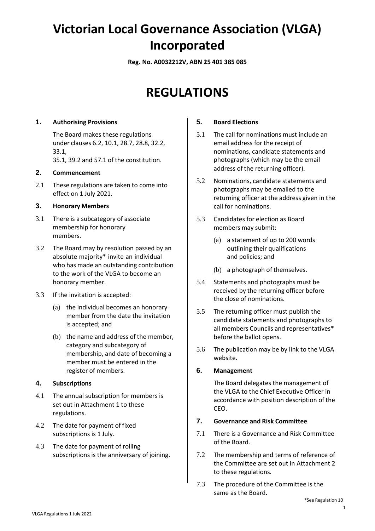# **Victorian Local Governance Association (VLGA) Incorporated**

**Reg. No. A0032212V, ABN 25 401 385 085**

## **REGULATIONS**

#### **1. Authorising Provisions**

The Board makes these regulations under clauses 6.2, 10.1, 28.7, 28.8, 32.2, 33.1, 35.1, 39.2 and 57.1 of the constitution.

#### **2. Commencement**

2.1 These regulations are taken to come into effect on 1 July 2021.

#### **3. Honorary Members**

- 3.1 There is a subcategory of associate membership for honorary members.
- 3.2 The Board may by resolution passed by an absolute majority\* invite an individual who has made an outstanding contribution to the work of the VLGA to become an honorary member.
- 3.3 If the invitation is accepted:
	- (a) the individual becomes an honorary member from the date the invitation is accepted; and
	- (b) the name and address of the member, category and subcategory of membership, and date of becoming a member must be entered in the register of members.

#### **4. Subscriptions**

- 4.1 The annual subscription for members is set out in Attachment 1 to these regulations.
- 4.2 The date for payment of fixed subscriptions is 1 July.
- 4.3 The date for payment of rolling subscriptions is the anniversary of joining.

#### **5. Board Elections**

- 5.1 The call for nominations must include an email address for the receipt of nominations, candidate statements and photographs (which may be the email address of the returning officer).
- 5.2 Nominations, candidate statements and photographs may be emailed to the returning officer at the address given in the call for nominations.
- 5.3 Candidates for election as Board members may submit:
	- (a) a statement of up to 200 words outlining their qualifications and policies; and
	- (b) a photograph of themselves.
- 5.4 Statements and photographs must be received by the returning officer before the close of nominations.
- 5.5 The returning officer must publish the candidate statements and photographs to all members Councils and representatives\* before the ballot opens.
- 5.6 The publication may be by link to the VLGA website.

#### **6. Management**

The Board delegates the management of the VLGA to the Chief Executive Officer in accordance with position description of the CEO.

#### **7. Governance and Risk Committee**

- 7.1 There is a Governance and Risk Committee of the Board.
- 7.2 The membership and terms of reference of the Committee are set out in Attachment 2 to these regulations.
- 7.3 The procedure of the Committee is the same as the Board.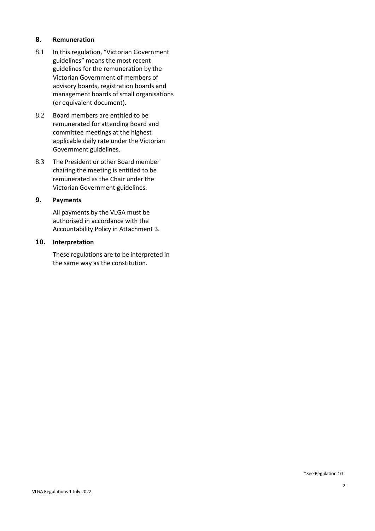#### **8. Remuneration**

- 8.1 In this regulation, "Victorian Government guidelines" means the most recent guidelines for the remuneration by the Victorian Government of members of advisory boards, registration boards and management boards of small organisations (or equivalent document).
- 8.2 Board members are entitled to be remunerated for attending Board and committee meetings at the highest applicable daily rate under the Victorian Government guidelines.
- 8.3 The President or other Board member chairing the meeting is entitled to be remunerated as the Chair under the Victorian Government guidelines.

#### **9. Payments**

All payments by the VLGA must be authorised in accordance with the Accountability Policy in Attachment 3.

#### **10. Interpretation**

These regulations are to be interpreted in the same way as the constitution.